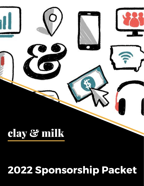# clay&milk

# **2022 Sponsorship Packet**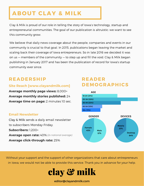# **ABOUT CLAY & MILK**

Clay & Milk is proud of our role in telling the story of Iowa's technology, startup and entrepreneurial communities. The goal of our publication is altruistic: we want to see this community grow.

We believe that daily news coverage about the people, companies and events in our community is crucial to that goal. In 2015, publications began leaving the market and scaling back their coverage of Iowa entrepreneurs. So in late 2016 we decided it was on us — members of the community — to step up and fill the void. Clay & Milk began publishing in January 2017 and has been the publication of record for Iowa's startup community ever since.

#### **READERSHIP READER**

#### **Site Reach [www.clayandmilk.com]**

**Average monthly page views:** 8,000+ **Average monthly stories published:** 24 **Average time on page:** 2 minutes 10 sec.

#### **Email Newsletter**

Clay & Milk sends a daily email newsletter to subscribers Monday-Friday. **Subscribers:** 1,200+ **Average open rate:** 40% *(2x national average)* **Average click-through rate:** 25%

# **DEMOGRAPHICS**



Without your support and the support of other organizations that care about entrepreneurs in Iowa, we would not be able to provide this service. Thank you in advance for your help.



editor@clayandmilk.com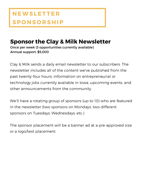# **NEWSLETTE R**  $S$  **PONSORSHIP**

### **Sponsor the Clay & Milk Newsletter**

Once per week (3 opportunities currently available) Annual support: \$5,000

Clay & Milk sends a daily email newsletter to our subscribers. The newsletter includes all of the content we've published from the past twenty-four hours, information on entrepreneurial or technology jobs currently available in Iowa, upcoming events, and other announcements from the community.

We'll have a rotating group of sponsors (up to 10) who are featured in the newsletter (two sponsors on Mondays, two different sponsors on Tuesdays, Wednesdays, etc.)

The sponsor placement will be a banner ad at a pre-approved size or a logo/text placement.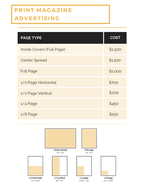# **PRINT MAGAZINE ADVERTISING**

| <b>PAGE TYPE</b>          | <b>COST</b> |
|---------------------------|-------------|
| Inside Covers (Full Page) | \$1,500     |
| <b>Center Spread</b>      | \$1,500     |
| <b>Full Page</b>          | \$1,000     |
| 1/2 Page Horizontal       | \$700       |
| 1/2 Page Vertical         | \$700       |
| $1/4$ Page                | \$450       |
| $1/8$ Page                | \$250       |

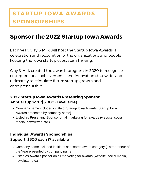#### **Sponsor the 2022 Startup Iowa Awards**

Each year, Clay & Milk will host the Startup Iowa Awards, a celebration and recognition of the organizations and people keeping the Iowa startup ecosystem thriving.

Clay & Milk created the awards program in 2020 to recognize entrepreneurial achievements and innovation statewide, and ultimately to stimulate future startup growth and entrepreneurship.

#### **2022 Startup Iowa Awards Presenting Sponsor** Annual support: \$5,000 (1 available)

- Company name included in title of Startup Iowa Awards [Startup Iowa Awards presented by company name]
- Listed as Presenting Sponsor on all marketing for awards (website, social media, newsletter, etc.)

#### **Individual Awards Sponsorships**

#### Support: \$500 each (7 available)

- Company name included in title of sponsored award category [Entrepreneur of the Year presented by company name]
- Listed as Award Sponsor on all marketing for awards (website, social media, newsletter etc.)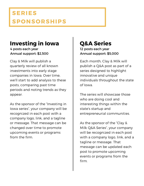# **SERIES SPONSORSHIPS**

#### **Investing in Iowa Q&A Series**

4 posts each year Annual support: \$2,500

Clay & Milk will publish a quarterly review of all known investments into early stage companies in Iowa. Over time, we'll start to add analysis to these posts, comparing past time periods and noting trends as they appear.

As the sponsor of the "Investing in Iowa series", your company will be recognized in each post with a company logo, link, and a tagline or message. That message can be changed over time to promote upcoming events or programs from the firm.

12 posts each year Annual support: \$5,000

Each month, Clay & Milk will publish a Q&A post as part of a series designed to highlight innovative and unique individuals throughout the state of Iowa.

The series will showcase those who are doing cool and interesting things within the state's startup and entrepreneurial communities.

As the sponsor of the "Clay & Milk Q&A Series", your company will be recognized in each post with a company logo, link, and a tagline or message. That message can be updated each post to promote upcoming events or programs from the firm.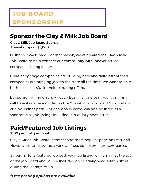# **J O B B O ARD SP O NS O R SHIP**

## **Sponsor the Clay & Milk Job Board**

Clay & Milk Job Board Sponsor Annual support: \$5,000

Hiring in Iowa is hard. For that reason, we've created the Clay & Milk Job Board to help connect our community with innovation-led companies hiring in Iowa.

Great early-stage companies are building here and daily, established companies are bringing jobs to the state all the time. We want to help both be successful in their recruiting efforts.

By sponsoring the Clay & Milk Job Board for one year, your company will have its name included as the "Clay & Milk Job Board Sponsor" on our job listings page. Your company name will also be listed as a sponsor in all job listings included in our daily newsletter.

# **Paid/Featured Job Listings**

#### \$100 per post, per month

Clay & Milk's Job Board is the second-most popular page on Startland News' website, featuring a variety of positions from Iowa companies.

By paying for a featured job post, your job listing will remain at the top of the job board and will be included on our daily newsletter 5 times during the 30 days its up.

#### *\*Free posting options are available*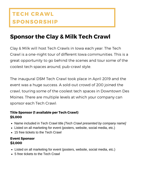### **TECH CRAWL SPONSORSHIP**

#### **Sponsor the Clay & Milk Tech Crawl**

Clay & Milk will host Tech Crawls in Iowa each year. The Tech Crawl is a one-night tour of different Iowa communities. This is a great opportunity to go behind the scenes and tour some of the coolest tech spaces around, pub-crawl style.

The inaugural DSM Tech Crawl took place in April 2019 and the event was a huge success. A sold-out crowd of 200 joined the crawl, touring some of the coolest tech spaces in Downtown Des Moines. There are multiple levels at which your company can sponsor each Tech Crawl:

#### **Title Sponsor (1 available per Tech Crawl) \$5,000**

- Name included in Tech Crawl title *[Tech Crawl presented by company name]*
- Listed on all marketing for event (posters, website, social media, etc.)
- 15 free tickets to the Tech Crawl

#### **Event Sponsor \$2,000**

- Listed on all marketing for event (posters, website, social media, etc.)
- 5 free tickets to the Tech Crawl